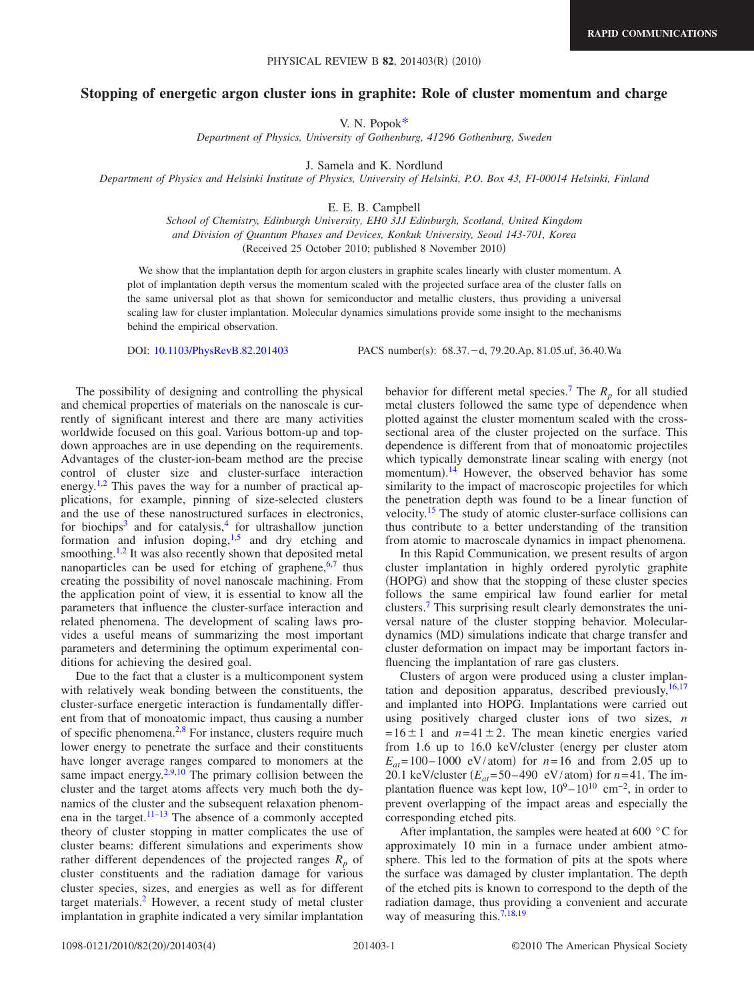## PHYSICAL REVIEW B 82, 201403(R) (2010)

## **Stopping of energetic argon cluster ions in graphite: Role of cluster momentum and charge**

V. N. Popo[k\\*](#page-3-0)

*Department of Physics, University of Gothenburg, 41296 Gothenburg, Sweden*

J. Samela and K. Nordlund

*Department of Physics and Helsinki Institute of Physics, University of Helsinki, P.O. Box 43, FI-00014 Helsinki, Finland*

E. E. B. Campbell

*School of Chemistry, Edinburgh University, EH0 3JJ Edinburgh, Scotland, United Kingdom and Division of Quantum Phases and Devices, Konkuk University, Seoul 143-701, Korea* (Received 25 October 2010; published 8 November 2010)

We show that the implantation depth for argon clusters in graphite scales linearly with cluster momentum. A plot of implantation depth versus the momentum scaled with the projected surface area of the cluster falls on the same universal plot as that shown for semiconductor and metallic clusters, thus providing a universal scaling law for cluster implantation. Molecular dynamics simulations provide some insight to the mechanisms behind the empirical observation.

DOI: [10.1103/PhysRevB.82.201403](http://dx.doi.org/10.1103/PhysRevB.82.201403)

PACS number(s): 68.37. - d, 79.20.Ap, 81.05.uf, 36.40.Wa

The possibility of designing and controlling the physical and chemical properties of materials on the nanoscale is currently of significant interest and there are many activities worldwide focused on this goal. Various bottom-up and topdown approaches are in use depending on the requirements. Advantages of the cluster-ion-beam method are the precise control of cluster size and cluster-surface interaction energy.<sup>1,[2](#page-3-2)</sup> This paves the way for a number of practical applications, for example, pinning of size-selected clusters and the use of these nanostructured surfaces in electronics, for biochips<sup>3</sup> and for catalysis,<sup>4</sup> for ultrashallow junction formation and infusion doping,<sup>1[,5](#page-3-5)</sup> and dry etching and smoothing.<sup>1,[2](#page-3-2)</sup> It was also recently shown that deposited metal nanoparticles can be used for etching of graphene, $6,7$  $6,7$  thus creating the possibility of novel nanoscale machining. From the application point of view, it is essential to know all the parameters that influence the cluster-surface interaction and related phenomena. The development of scaling laws provides a useful means of summarizing the most important parameters and determining the optimum experimental conditions for achieving the desired goal.

Due to the fact that a cluster is a multicomponent system with relatively weak bonding between the constituents, the cluster-surface energetic interaction is fundamentally different from that of monoatomic impact, thus causing a number of specific phenomena[.2,](#page-3-2)[8](#page-3-8) For instance, clusters require much lower energy to penetrate the surface and their constituents have longer average ranges compared to monomers at the same impact energy. $2,9,10$  $2,9,10$  $2,9,10$  The primary collision between the cluster and the target atoms affects very much both the dynamics of the cluster and the subsequent relaxation phenomena in the target. $11-13$  The absence of a commonly accepted theory of cluster stopping in matter complicates the use of cluster beams: different simulations and experiments show rather different dependences of the projected ranges  $R_p$  of cluster constituents and the radiation damage for various cluster species, sizes, and energies as well as for different target materials[.2](#page-3-2) However, a recent study of metal cluster implantation in graphite indicated a very similar implantation behavior for different metal species.<sup>7</sup> The  $R_p$  for all studied metal clusters followed the same type of dependence when plotted against the cluster momentum scaled with the crosssectional area of the cluster projected on the surface. This dependence is different from that of monoatomic projectiles which typically demonstrate linear scaling with energy (not momentum).<sup>[14](#page-3-13)</sup> However, the observed behavior has some similarity to the impact of macroscopic projectiles for which the penetration depth was found to be a linear function of velocity[.15](#page-3-14) The study of atomic cluster-surface collisions can thus contribute to a better understanding of the transition from atomic to macroscale dynamics in impact phenomena.

In this Rapid Communication, we present results of argon cluster implantation in highly ordered pyrolytic graphite (HOPG) and show that the stopping of these cluster species follows the same empirical law found earlier for metal clusters[.7](#page-3-7) This surprising result clearly demonstrates the universal nature of the cluster stopping behavior. Moleculardynamics (MD) simulations indicate that charge transfer and cluster deformation on impact may be important factors influencing the implantation of rare gas clusters.

Clusters of argon were produced using a cluster implantation and deposition apparatus, described previously,  $16,17$  $16,17$ and implanted into HOPG. Implantations were carried out using positively charged cluster ions of two sizes, *n*  $= 16 \pm 1$  and  $n = 41 \pm 2$ . The mean kinetic energies varied from 1.6 up to 16.0 keV/cluster (energy per cluster atom  $E_{at}$  = 100–1000 eV/atom) for  $n = 16$  and from 2.05 up to 20.1 keV/cluster  $(E_{at} = 50 - 490 \text{ eV/atom})$  for  $n = 41$ . The implantation fluence was kept low,  $10^9 - 10^{10}$  cm<sup>-2</sup>, in order to prevent overlapping of the impact areas and especially the corresponding etched pits.

After implantation, the samples were heated at 600 $\degree$ C for approximately 10 min in a furnace under ambient atmosphere. This led to the formation of pits at the spots where the surface was damaged by cluster implantation. The depth of the etched pits is known to correspond to the depth of the radiation damage, thus providing a convenient and accurate way of measuring this.<sup>7,[18](#page-3-17)[,19](#page-3-18)</sup>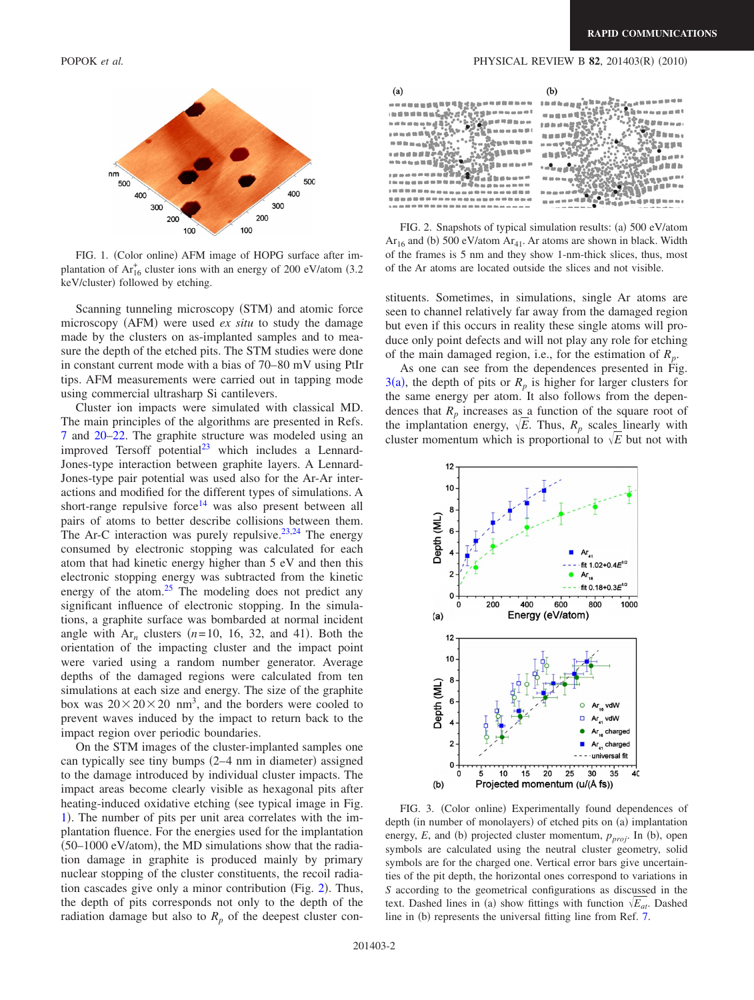<span id="page-1-0"></span>



FIG. 1. (Color online) AFM image of HOPG surface after implantation of  $Ar_{16}^+$  cluster ions with an energy of 200 eV/atom (3.2) keV/cluster) followed by etching.

Scanning tunneling microscopy (STM) and atomic force microscopy (AFM) were used *ex situ* to study the damage made by the clusters on as-implanted samples and to measure the depth of the etched pits. The STM studies were done in constant current mode with a bias of 70–80 mV using PtIr tips. AFM measurements were carried out in tapping mode using commercial ultrasharp Si cantilevers.

Cluster ion impacts were simulated with classical MD. The main principles of the algorithms are presented in Refs. [7](#page-3-7) and [20–](#page-3-19)[22.](#page-3-20) The graphite structure was modeled using an improved Tersoff potential $^{23}$  which includes a Lennard-Jones-type interaction between graphite layers. A Lennard-Jones-type pair potential was used also for the Ar-Ar interactions and modified for the different types of simulations. A short-range repulsive force<sup>14</sup> was also present between all pairs of atoms to better describe collisions between them. The Ar-C interaction was purely repulsive.<sup>23[,24](#page-3-22)</sup> The energy consumed by electronic stopping was calculated for each atom that had kinetic energy higher than 5 eV and then this electronic stopping energy was subtracted from the kinetic energy of the atom. $25$  The modeling does not predict any significant influence of electronic stopping. In the simulations, a graphite surface was bombarded at normal incident angle with  $Ar_n$  clusters  $(n=10, 16, 32,$  and 41). Both the orientation of the impacting cluster and the impact point were varied using a random number generator. Average depths of the damaged regions were calculated from ten simulations at each size and energy. The size of the graphite box was  $20 \times 20 \times 20$  nm<sup>3</sup>, and the borders were cooled to prevent waves induced by the impact to return back to the impact region over periodic boundaries.

On the STM images of the cluster-implanted samples one can typically see tiny bumps (2-4 nm in diameter) assigned to the damage introduced by individual cluster impacts. The impact areas become clearly visible as hexagonal pits after heating-induced oxidative etching (see typical image in Fig. [1](#page-1-0)). The number of pits per unit area correlates with the implantation fluence. For the energies used for the implantation  $(50-1000 \text{ eV/atom})$ , the MD simulations show that the radiation damage in graphite is produced mainly by primary nuclear stopping of the cluster constituents, the recoil radia-tion cascades give only a minor contribution (Fig. [2](#page-1-1)). Thus, the depth of pits corresponds not only to the depth of the radiation damage but also to  $R_p$  of the deepest cluster con-

## POPOK *et al.* PHYSICAL REVIEW B **82**, 201403(R) (2010)

<span id="page-1-1"></span>

| $1.0145 \pm 0.0022 \pm 0.0000 \pm 0.0000 \pm 0.0000 \pm 0.0000 \pm 0.0000 \pm 0.0000 \pm 0.0000 \pm 0.0000 \pm 0.0000 \pm 0.0000 \pm 0.0000 \pm 0.0000 \pm 0.0000 \pm 0.0000 \pm 0.0000 \pm 0.0000 \pm 0.0000 \pm 0.0000 \pm 0.0000 \pm 0.0000 \pm 0.0000 \pm 0.0000 \pm 0.00$<br>00 00 00 00 00 00<br>co 00 dB (<br>to so a <sub>0</sub> gg gg 60 00 0<br>10000000000<br><b>40 00 00 00 00 10</b><br>/电磁导的 m m d<br><b>to all the all do an do all J</b><br>1 5 2 6 1 6 2 2<br><b>OD 10 1</b><br><b><i><b>SSBNWM</b></i></b><br>a an aa ah 98 98 99 9<br>108 01<br><b>00 00 00 00 00 00 00</b><br>3899<br><b>THE READ OF THE UP A</b><br>$\mathfrak{a}$ is $\mathfrak{g}, \mathfrak{g}, \mathfrak{g}, \mathfrak{g}$<br>an 89 m<br>co to co co sa to 10 10 m<br>新建新闻新<br>1000000 |  |
|----------------------------------------------------------------------------------------------------------------------------------------------------------------------------------------------------------------------------------------------------------------------------------------------------------------------------------------------------------------------------------------------------------------------------------------------------------------------------------------------------------------------------------------------------------------------------------------------------------------------------------------------------------------------------------------------------------------------------------------------------------------------------------|--|
|                                                                                                                                                                                                                                                                                                                                                                                                                                                                                                                                                                                                                                                                                                                                                                                  |  |
|                                                                                                                                                                                                                                                                                                                                                                                                                                                                                                                                                                                                                                                                                                                                                                                  |  |
|                                                                                                                                                                                                                                                                                                                                                                                                                                                                                                                                                                                                                                                                                                                                                                                  |  |
|                                                                                                                                                                                                                                                                                                                                                                                                                                                                                                                                                                                                                                                                                                                                                                                  |  |
|                                                                                                                                                                                                                                                                                                                                                                                                                                                                                                                                                                                                                                                                                                                                                                                  |  |
|                                                                                                                                                                                                                                                                                                                                                                                                                                                                                                                                                                                                                                                                                                                                                                                  |  |
|                                                                                                                                                                                                                                                                                                                                                                                                                                                                                                                                                                                                                                                                                                                                                                                  |  |
| 医链接性杆菌<br>The antique and the all                                                                                                                                                                                                                                                                                                                                                                                                                                                                                                                                                                                                                                                                                                                                                |  |
| 0 0o oo ag aa aa aa aa aa aa aa<br><b>10 20 30 00 cm</b><br><b>00 00 00</b>                                                                                                                                                                                                                                                                                                                                                                                                                                                                                                                                                                                                                                                                                                      |  |
| 0 00 00 00 00 00 00 00 m<br><b>as as all 89 00</b><br><b>00 00 00 00</b>                                                                                                                                                                                                                                                                                                                                                                                                                                                                                                                                                                                                                                                                                                         |  |
|                                                                                                                                                                                                                                                                                                                                                                                                                                                                                                                                                                                                                                                                                                                                                                                  |  |

FIG. 2. Snapshots of typical simulation results: (a) 500 eV/atom  $Ar_{16}$  and (b) 500 eV/atom  $Ar_{41}$ . Ar atoms are shown in black. Width of the frames is 5 nm and they show 1-nm-thick slices, thus, most of the Ar atoms are located outside the slices and not visible.

stituents. Sometimes, in simulations, single Ar atoms are seen to channel relatively far away from the damaged region but even if this occurs in reality these single atoms will produce only point defects and will not play any role for etching of the main damaged region, i.e., for the estimation of *Rp*.

As one can see from the dependences presented in Fig.  $3(a)$  $3(a)$ , the depth of pits or  $R_p$  is higher for larger clusters for the same energy per atom. It also follows from the dependences that  $R_p$  increases as a function of the square root of the implantation energy,  $\sqrt{E}$ . Thus,  $R_p$  scales linearly with cluster momentum which is proportional to  $\sqrt{E}$  but not with

<span id="page-1-2"></span>

FIG. 3. (Color online) Experimentally found dependences of depth (in number of monolayers) of etched pits on (a) implantation energy,  $E$ , and (b) projected cluster momentum,  $p_{proj}$ . In (b), open symbols are calculated using the neutral cluster geometry, solid symbols are for the charged one. Vertical error bars give uncertainties of the pit depth, the horizontal ones correspond to variations in *S* according to the geometrical configurations as discussed in the text. Dashed lines in (a) show fittings with function  $\sqrt{E_{at}}$ . Dashed line in (b) represents the universal fitting line from Ref. [7.](#page-3-7)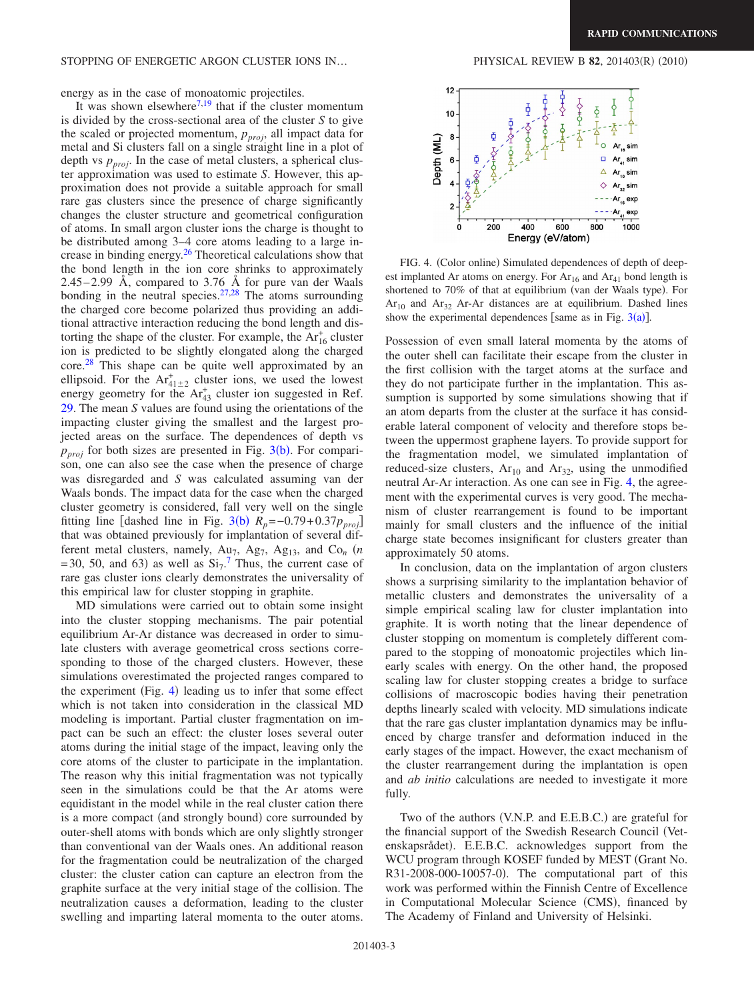energy as in the case of monoatomic projectiles.

It was shown elsewhere<sup>7[,19](#page-3-18)</sup> that if the cluster momentum is divided by the cross-sectional area of the cluster *S* to give the scaled or projected momentum,  $p_{\text{proj}}$ , all impact data for metal and Si clusters fall on a single straight line in a plot of depth vs  $p_{\text{proj}}$ . In the case of metal clusters, a spherical cluster approximation was used to estimate *S*. However, this approximation does not provide a suitable approach for small rare gas clusters since the presence of charge significantly changes the cluster structure and geometrical configuration of atoms. In small argon cluster ions the charge is thought to be distributed among 3–4 core atoms leading to a large increase in binding energy.<sup>26</sup> Theoretical calculations show that the bond length in the ion core shrinks to approximately 2.45–2.99 Å, compared to 3.76 Å for pure van der Waals bonding in the neutral species. $27.28$  The atoms surrounding the charged core become polarized thus providing an additional attractive interaction reducing the bond length and distorting the shape of the cluster. For example, the  $Ar_{16}^{+}$  cluster ion is predicted to be slightly elongated along the charged core.[28](#page-3-26) This shape can be quite well approximated by an ellipsoid. For the  $Ar_{41\pm2}^+$  cluster ions, we used the lowest energy geometry for the  $Ar_{43}^+$  cluster ion suggested in Ref. [29.](#page-3-27) The mean *S* values are found using the orientations of the impacting cluster giving the smallest and the largest projected areas on the surface. The dependences of depth vs  $p_{proj}$  for both sizes are presented in Fig. [3](#page-1-2)(b). For comparison, one can also see the case when the presence of charge was disregarded and *S* was calculated assuming van der Waals bonds. The impact data for the case when the charged cluster geometry is considered, fall very well on the single fitting line [dashed line in Fig. [3](#page-1-2)(b)  $R_p = -0.79 + 0.37 p_{proj}$ ] that was obtained previously for implantation of several different metal clusters, namely,  $Au_7$ ,  $Ag_7$ ,  $Ag_{13}$ , and  $Co_n$  (*n*  $= 30, 50,$  and 63) as well as  $Si<sub>7</sub>$  $Si<sub>7</sub>$  $Si<sub>7</sub>$ .<sup>7</sup> Thus, the current case of rare gas cluster ions clearly demonstrates the universality of this empirical law for cluster stopping in graphite.

MD simulations were carried out to obtain some insight into the cluster stopping mechanisms. The pair potential equilibrium Ar-Ar distance was decreased in order to simulate clusters with average geometrical cross sections corresponding to those of the charged clusters. However, these simulations overestimated the projected ranges compared to the experiment (Fig. [4](#page-2-0)) leading us to infer that some effect which is not taken into consideration in the classical MD modeling is important. Partial cluster fragmentation on impact can be such an effect: the cluster loses several outer atoms during the initial stage of the impact, leaving only the core atoms of the cluster to participate in the implantation. The reason why this initial fragmentation was not typically seen in the simulations could be that the Ar atoms were equidistant in the model while in the real cluster cation there is a more compact (and strongly bound) core surrounded by outer-shell atoms with bonds which are only slightly stronger than conventional van der Waals ones. An additional reason for the fragmentation could be neutralization of the charged cluster: the cluster cation can capture an electron from the graphite surface at the very initial stage of the collision. The neutralization causes a deformation, leading to the cluster swelling and imparting lateral momenta to the outer atoms.

 $(2010)$ 

<span id="page-2-0"></span>

FIG. 4. (Color online) Simulated dependences of depth of deepest implanted Ar atoms on energy. For  $Ar_{16}$  and  $Ar_{41}$  bond length is shortened to 70% of that at equilibrium (van der Waals type). For  $Ar_{10}$  and  $Ar_{32}$  Ar-Ar distances are at equilibrium. Dashed lines show the experimental dependences [same as in Fig.  $3(a)$  $3(a)$ ].

Possession of even small lateral momenta by the atoms of the outer shell can facilitate their escape from the cluster in the first collision with the target atoms at the surface and they do not participate further in the implantation. This assumption is supported by some simulations showing that if an atom departs from the cluster at the surface it has considerable lateral component of velocity and therefore stops between the uppermost graphene layers. To provide support for the fragmentation model, we simulated implantation of reduced-size clusters,  $Ar_{10}$  and  $Ar_{32}$ , using the unmodified neutral Ar-Ar interaction. As one can see in Fig. [4,](#page-2-0) the agreement with the experimental curves is very good. The mechanism of cluster rearrangement is found to be important mainly for small clusters and the influence of the initial charge state becomes insignificant for clusters greater than approximately 50 atoms.

In conclusion, data on the implantation of argon clusters shows a surprising similarity to the implantation behavior of metallic clusters and demonstrates the universality of a simple empirical scaling law for cluster implantation into graphite. It is worth noting that the linear dependence of cluster stopping on momentum is completely different compared to the stopping of monoatomic projectiles which linearly scales with energy. On the other hand, the proposed scaling law for cluster stopping creates a bridge to surface collisions of macroscopic bodies having their penetration depths linearly scaled with velocity. MD simulations indicate that the rare gas cluster implantation dynamics may be influenced by charge transfer and deformation induced in the early stages of the impact. However, the exact mechanism of the cluster rearrangement during the implantation is open and *ab initio* calculations are needed to investigate it more fully.

Two of the authors (V.N.P. and E.E.B.C.) are grateful for the financial support of the Swedish Research Council Vetenskapsrådet). E.E.B.C. acknowledges support from the WCU program through KOSEF funded by MEST Grant No. R31-2008-000-10057-0). The computational part of this work was performed within the Finnish Centre of Excellence in Computational Molecular Science (CMS), financed by The Academy of Finland and University of Helsinki.